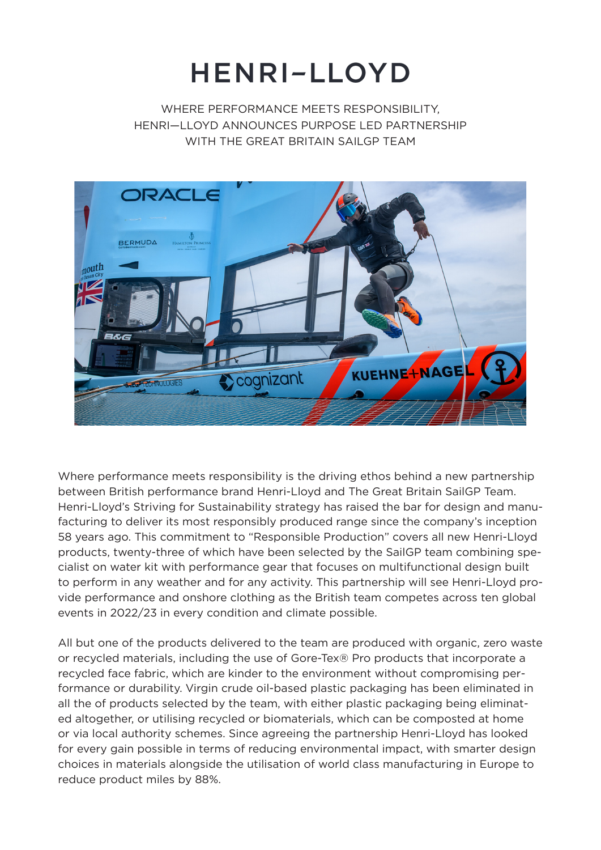## HENRI-LLOYD

WHERE PERFORMANCE MEETS RESPONSIBILITY. HENRI—LLOYD ANNOUNCES PURPOSE LED PARTNERSHIP WITH THE GREAT BRITAIN SAIL GP TEAM



Where performance meets responsibility is the driving ethos behind a new partnership between British performance brand Henri-Lloyd and The Great Britain SailGP Team. Henri-Lloyd's Striving for Sustainability strategy has raised the bar for design and manufacturing to deliver its most responsibly produced range since the company's inception 58 years ago. This commitment to "Responsible Production" covers all new Henri-Lloyd products, twenty-three of which have been selected by the SailGP team combining specialist on water kit with performance gear that focuses on multifunctional design built to perform in any weather and for any activity. This partnership will see Henri-Lloyd provide performance and onshore clothing as the British team competes across ten global events in 2022/23 in every condition and climate possible.

All but one of the products delivered to the team are produced with organic, zero waste or recycled materials, including the use of Gore-Tex® Pro products that incorporate a recycled face fabric, which are kinder to the environment without compromising performance or durability. Virgin crude oil-based plastic packaging has been eliminated in all the of products selected by the team, with either plastic packaging being eliminated altogether, or utilising recycled or biomaterials, which can be composted at home or via local authority schemes. Since agreeing the partnership Henri-Lloyd has looked for every gain possible in terms of reducing environmental impact, with smarter design choices in materials alongside the utilisation of world class manufacturing in Europe to reduce product miles by 88%.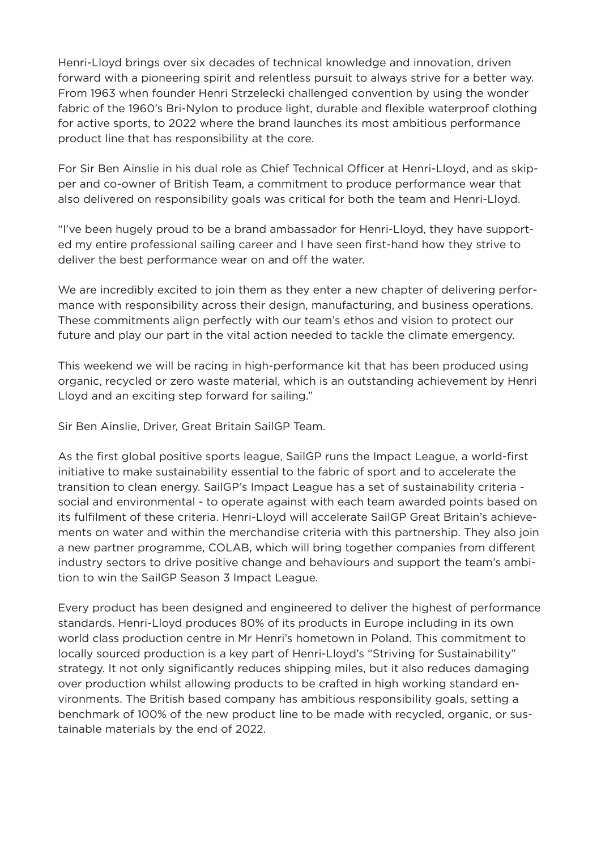Henri-Lloyd brings over six decades of technical knowledge and innovation, driven forward with a pioneering spirit and relentless pursuit to always strive for a better way. From 1963 when founder Henri Strzelecki challenged convention by using the wonder fabric of the 1960's Bri-Nylon to produce light, durable and flexible waterproof clothing for active sports, to 2022 where the brand launches its most ambitious performance product line that has responsibility at the core.

For Sir Ben Ainslie in his dual role as Chief Technical Officer at Henri-Lloyd, and as skipper and co-owner of British Team, a commitment to produce performance wear that also delivered on responsibility goals was critical for both the team and Henri-Lloyd.

"I've been hugely proud to be a brand ambassador for Henri-Lloyd, they have supported my entire professional sailing career and I have seen first-hand how they strive to deliver the best performance wear on and off the water.

We are incredibly excited to join them as they enter a new chapter of delivering performance with responsibility across their design, manufacturing, and business operations. These commitments align perfectly with our team's ethos and vision to protect our future and play our part in the vital action needed to tackle the climate emergency.

This weekend we will be racing in high-performance kit that has been produced using organic, recycled or zero waste material, which is an outstanding achievement by Henri Lloyd and an exciting step forward for sailing."

Sir Ben Ainslie, Driver, Great Britain SailGP Team.

As the first global positive sports league, SailGP runs the Impact League, a world-first initiative to make sustainability essential to the fabric of sport and to accelerate the transition to clean energy. SailGP's Impact League has a set of sustainability criteria social and environmental - to operate against with each team awarded points based on its fulfilment of these criteria. Henri-Lloyd will accelerate SailGP Great Britain's achievements on water and within the merchandise criteria with this partnership. They also join a new partner programme, COLAB, which will bring together companies from different industry sectors to drive positive change and behaviours and support the team's ambition to win the SailGP Season 3 Impact League.

Every product has been designed and engineered to deliver the highest of performance standards. Henri-Lloyd produces 80% of its products in Europe including in its own world class production centre in Mr Henri's hometown in Poland. This commitment to locally sourced production is a key part of Henri-Lloyd's "Striving for Sustainability" strategy. It not only significantly reduces shipping miles, but it also reduces damaging over production whilst allowing products to be crafted in high working standard environments. The British based company has ambitious responsibility goals, setting a benchmark of 100% of the new product line to be made with recycled, organic, or sustainable materials by the end of 2022.